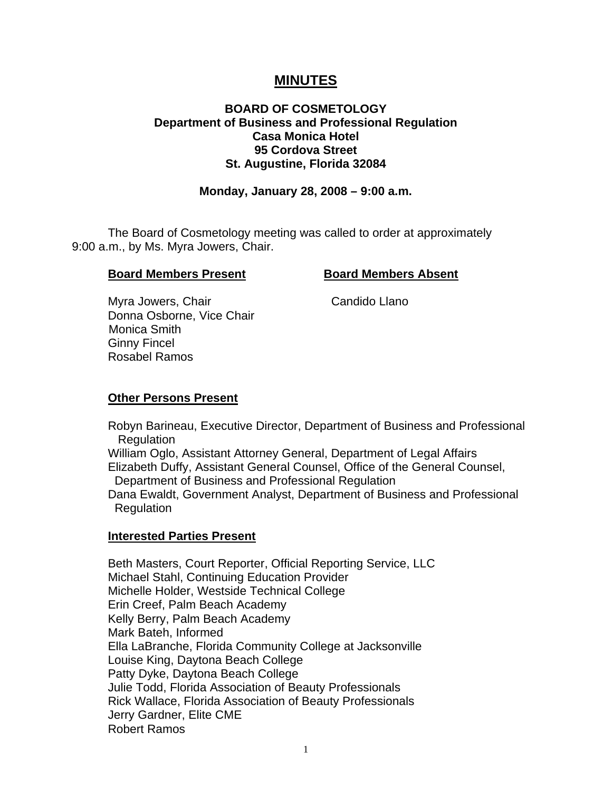# **MINUTES**

# **BOARD OF COSMETOLOGY Department of Business and Professional Regulation Casa Monica Hotel 95 Cordova Street St. Augustine, Florida 32084**

## **Monday, January 28, 2008 – 9:00 a.m.**

 The Board of Cosmetology meeting was called to order at approximately 9:00 a.m., by Ms. Myra Jowers, Chair.

#### **Board Members Present Board Members Absent**

Myra Jowers, Chair Chair Candido Llano Donna Osborne, Vice Chair Monica Smith Ginny Fincel Rosabel Ramos

## **Other Persons Present**

 Robyn Barineau, Executive Director, Department of Business and Professional **Regulation** 

 William Oglo, Assistant Attorney General, Department of Legal Affairs Elizabeth Duffy, Assistant General Counsel, Office of the General Counsel, Department of Business and Professional Regulation

 Dana Ewaldt, Government Analyst, Department of Business and Professional Regulation

#### **Interested Parties Present**

Beth Masters, Court Reporter, Official Reporting Service, LLC Michael Stahl, Continuing Education Provider Michelle Holder, Westside Technical College Erin Creef, Palm Beach Academy Kelly Berry, Palm Beach Academy Mark Bateh, Informed Ella LaBranche, Florida Community College at Jacksonville Louise King, Daytona Beach College Patty Dyke, Daytona Beach College Julie Todd, Florida Association of Beauty Professionals Rick Wallace, Florida Association of Beauty Professionals Jerry Gardner, Elite CME Robert Ramos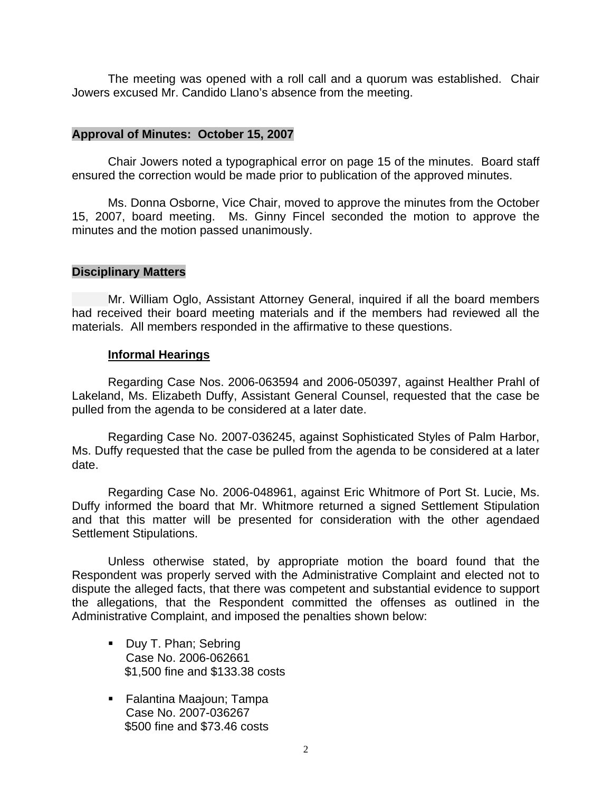The meeting was opened with a roll call and a quorum was established. Chair Jowers excused Mr. Candido Llano's absence from the meeting.

#### **Approval of Minutes: October 15, 2007**

Chair Jowers noted a typographical error on page 15 of the minutes. Board staff ensured the correction would be made prior to publication of the approved minutes.

Ms. Donna Osborne, Vice Chair, moved to approve the minutes from the October 15, 2007, board meeting. Ms. Ginny Fincel seconded the motion to approve the minutes and the motion passed unanimously.

## **Disciplinary Matters**

Mr. William Oglo, Assistant Attorney General, inquired if all the board members had received their board meeting materials and if the members had reviewed all the materials. All members responded in the affirmative to these questions.

#### **Informal Hearings**

 Regarding Case Nos. 2006-063594 and 2006-050397, against Healther Prahl of Lakeland, Ms. Elizabeth Duffy, Assistant General Counsel, requested that the case be pulled from the agenda to be considered at a later date.

 Regarding Case No. 2007-036245, against Sophisticated Styles of Palm Harbor, Ms. Duffy requested that the case be pulled from the agenda to be considered at a later date.

 Regarding Case No. 2006-048961, against Eric Whitmore of Port St. Lucie, Ms. Duffy informed the board that Mr. Whitmore returned a signed Settlement Stipulation and that this matter will be presented for consideration with the other agendaed Settlement Stipulations.

 Unless otherwise stated, by appropriate motion the board found that the Respondent was properly served with the Administrative Complaint and elected not to dispute the alleged facts, that there was competent and substantial evidence to support the allegations, that the Respondent committed the offenses as outlined in the Administrative Complaint, and imposed the penalties shown below:

- Duy T. Phan; Sebring Case No. 2006-062661 \$1,500 fine and \$133.38 costs
- Falantina Maajoun; Tampa Case No. 2007-036267 \$500 fine and \$73.46 costs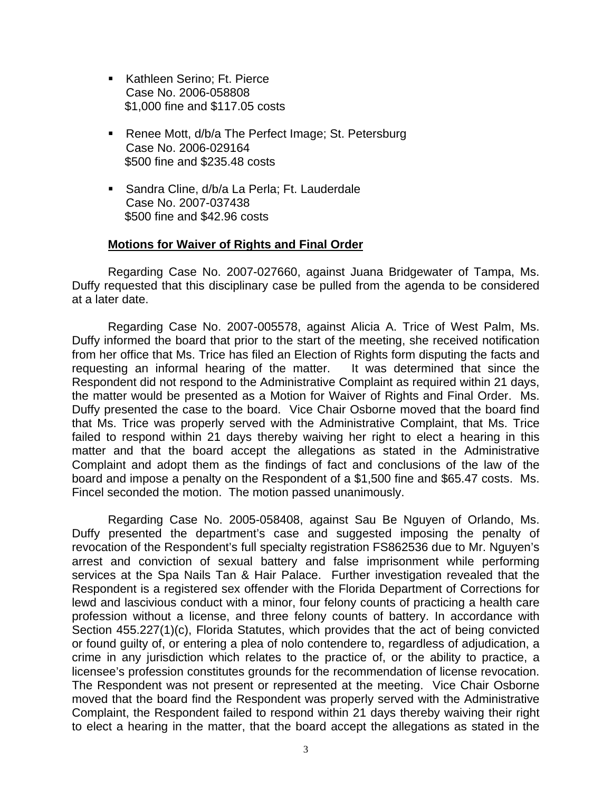- Kathleen Serino: Ft. Pierce Case No. 2006-058808 \$1,000 fine and \$117.05 costs
- Renee Mott, d/b/a The Perfect Image; St. Petersburg Case No. 2006-029164 \$500 fine and \$235.48 costs
- Sandra Cline, d/b/a La Perla; Ft. Lauderdale Case No. 2007-037438 \$500 fine and \$42.96 costs

#### **Motions for Waiver of Rights and Final Order**

 Regarding Case No. 2007-027660, against Juana Bridgewater of Tampa, Ms. Duffy requested that this disciplinary case be pulled from the agenda to be considered at a later date.

 Regarding Case No. 2007-005578, against Alicia A. Trice of West Palm, Ms. Duffy informed the board that prior to the start of the meeting, she received notification from her office that Ms. Trice has filed an Election of Rights form disputing the facts and requesting an informal hearing of the matter. It was determined that since the Respondent did not respond to the Administrative Complaint as required within 21 days, the matter would be presented as a Motion for Waiver of Rights and Final Order. Ms. Duffy presented the case to the board. Vice Chair Osborne moved that the board find that Ms. Trice was properly served with the Administrative Complaint, that Ms. Trice failed to respond within 21 days thereby waiving her right to elect a hearing in this matter and that the board accept the allegations as stated in the Administrative Complaint and adopt them as the findings of fact and conclusions of the law of the board and impose a penalty on the Respondent of a \$1,500 fine and \$65.47 costs. Ms. Fincel seconded the motion. The motion passed unanimously.

 Regarding Case No. 2005-058408, against Sau Be Nguyen of Orlando, Ms. Duffy presented the department's case and suggested imposing the penalty of revocation of the Respondent's full specialty registration FS862536 due to Mr. Nguyen's arrest and conviction of sexual battery and false imprisonment while performing services at the Spa Nails Tan & Hair Palace. Further investigation revealed that the Respondent is a registered sex offender with the Florida Department of Corrections for lewd and lascivious conduct with a minor, four felony counts of practicing a health care profession without a license, and three felony counts of battery. In accordance with Section 455.227(1)(c), Florida Statutes, which provides that the act of being convicted or found guilty of, or entering a plea of nolo contendere to, regardless of adjudication, a crime in any jurisdiction which relates to the practice of, or the ability to practice, a licensee's profession constitutes grounds for the recommendation of license revocation. The Respondent was not present or represented at the meeting. Vice Chair Osborne moved that the board find the Respondent was properly served with the Administrative Complaint, the Respondent failed to respond within 21 days thereby waiving their right to elect a hearing in the matter, that the board accept the allegations as stated in the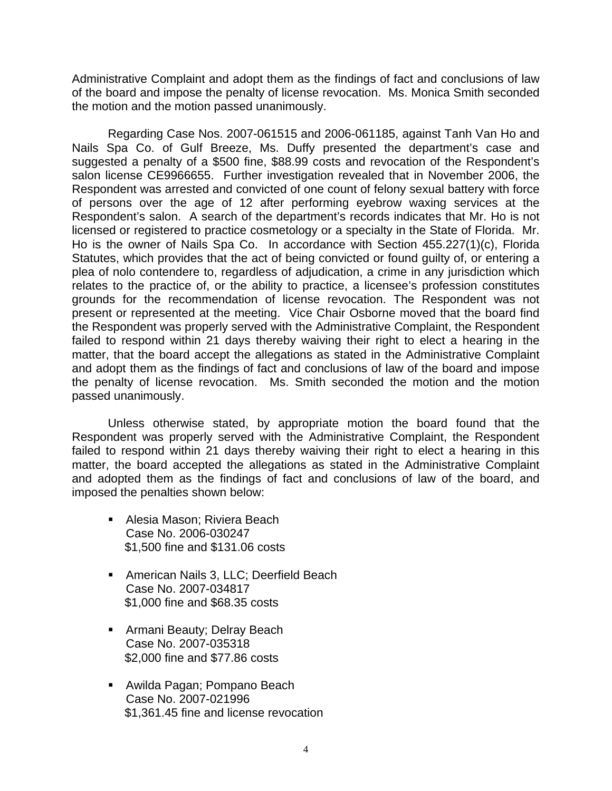Administrative Complaint and adopt them as the findings of fact and conclusions of law of the board and impose the penalty of license revocation. Ms. Monica Smith seconded the motion and the motion passed unanimously.

 Regarding Case Nos. 2007-061515 and 2006-061185, against Tanh Van Ho and Nails Spa Co. of Gulf Breeze, Ms. Duffy presented the department's case and suggested a penalty of a \$500 fine, \$88.99 costs and revocation of the Respondent's salon license CE9966655. Further investigation revealed that in November 2006, the Respondent was arrested and convicted of one count of felony sexual battery with force of persons over the age of 12 after performing eyebrow waxing services at the Respondent's salon. A search of the department's records indicates that Mr. Ho is not licensed or registered to practice cosmetology or a specialty in the State of Florida. Mr. Ho is the owner of Nails Spa Co. In accordance with Section 455.227(1)(c), Florida Statutes, which provides that the act of being convicted or found guilty of, or entering a plea of nolo contendere to, regardless of adjudication, a crime in any jurisdiction which relates to the practice of, or the ability to practice, a licensee's profession constitutes grounds for the recommendation of license revocation. The Respondent was not present or represented at the meeting. Vice Chair Osborne moved that the board find the Respondent was properly served with the Administrative Complaint, the Respondent failed to respond within 21 days thereby waiving their right to elect a hearing in the matter, that the board accept the allegations as stated in the Administrative Complaint and adopt them as the findings of fact and conclusions of law of the board and impose the penalty of license revocation. Ms. Smith seconded the motion and the motion passed unanimously.

Unless otherwise stated, by appropriate motion the board found that the Respondent was properly served with the Administrative Complaint, the Respondent failed to respond within 21 days thereby waiving their right to elect a hearing in this matter, the board accepted the allegations as stated in the Administrative Complaint and adopted them as the findings of fact and conclusions of law of the board, and imposed the penalties shown below:

- Alesia Mason; Riviera Beach Case No. 2006-030247 \$1,500 fine and \$131.06 costs
- **American Nails 3, LLC; Deerfield Beach** Case No. 2007-034817 \$1,000 fine and \$68.35 costs
- **EXEC** Armani Beauty; Delray Beach Case No. 2007-035318 \$2,000 fine and \$77.86 costs
- Awilda Pagan; Pompano Beach Case No. 2007-021996 \$1,361.45 fine and license revocation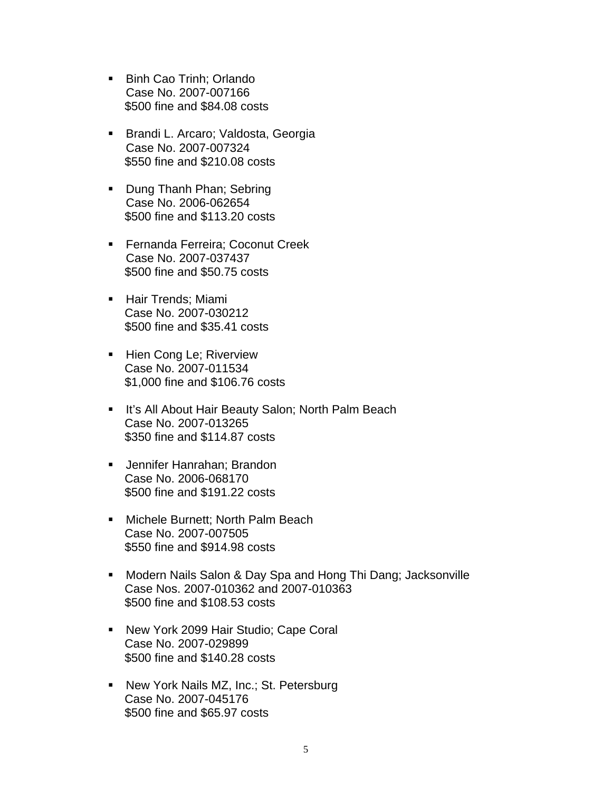- Binh Cao Trinh: Orlando Case No. 2007-007166 \$500 fine and \$84.08 costs
- **Brandi L. Arcaro; Valdosta, Georgia** Case No. 2007-007324 \$550 fine and \$210.08 costs
- **Dung Thanh Phan; Sebring** Case No. 2006-062654 \$500 fine and \$113.20 costs
- **Fernanda Ferreira; Coconut Creek** Case No. 2007-037437 \$500 fine and \$50.75 costs
- **Hair Trends; Miami**  Case No. 2007-030212 \$500 fine and \$35.41 costs
- **Hien Cong Le; Riverview**  Case No. 2007-011534 \$1,000 fine and \$106.76 costs
- **It's All About Hair Beauty Salon; North Palm Beach**  Case No. 2007-013265 \$350 fine and \$114.87 costs
- **Jennifer Hanrahan; Brandon**  Case No. 2006-068170 \$500 fine and \$191.22 costs
- Michele Burnett; North Palm Beach Case No. 2007-007505 \$550 fine and \$914.98 costs
- Modern Nails Salon & Day Spa and Hong Thi Dang; Jacksonville Case Nos. 2007-010362 and 2007-010363 \$500 fine and \$108.53 costs
- New York 2099 Hair Studio; Cape Coral Case No. 2007-029899 \$500 fine and \$140.28 costs
- New York Nails MZ, Inc.; St. Petersburg Case No. 2007-045176 \$500 fine and \$65.97 costs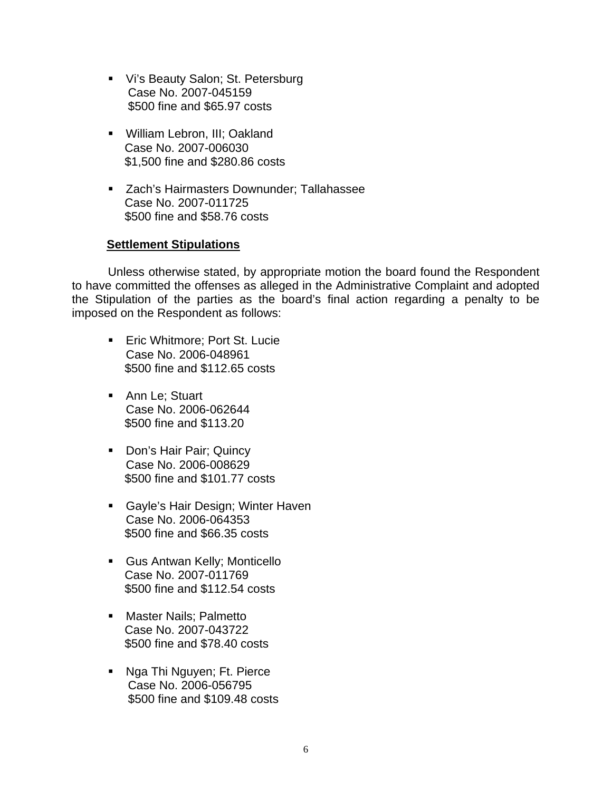- Vi's Beauty Salon; St. Petersburg Case No. 2007-045159 \$500 fine and \$65.97 costs
- **William Lebron, III; Oakland**  Case No. 2007-006030 \$1,500 fine and \$280.86 costs
- **EXACC** Zach's Hairmasters Downunder; Tallahassee Case No. 2007-011725 \$500 fine and \$58.76 costs

# **Settlement Stipulations**

 Unless otherwise stated, by appropriate motion the board found the Respondent to have committed the offenses as alleged in the Administrative Complaint and adopted the Stipulation of the parties as the board's final action regarding a penalty to be imposed on the Respondent as follows:

- **Eric Whitmore; Port St. Lucie** Case No. 2006-048961 \$500 fine and \$112.65 costs
- **Ann Le; Stuart** Case No. 2006-062644 \$500 fine and \$113.20
- Don's Hair Pair; Quincy Case No. 2006-008629 \$500 fine and \$101.77 costs
- **Gayle's Hair Design; Winter Haven** Case No. 2006-064353 \$500 fine and \$66.35 costs
- Gus Antwan Kelly; Monticello Case No. 2007-011769 \$500 fine and \$112.54 costs
- **Naster Nails: Palmetto**  Case No. 2007-043722 \$500 fine and \$78.40 costs
- **Nga Thi Nguyen; Ft. Pierce**  Case No. 2006-056795 \$500 fine and \$109.48 costs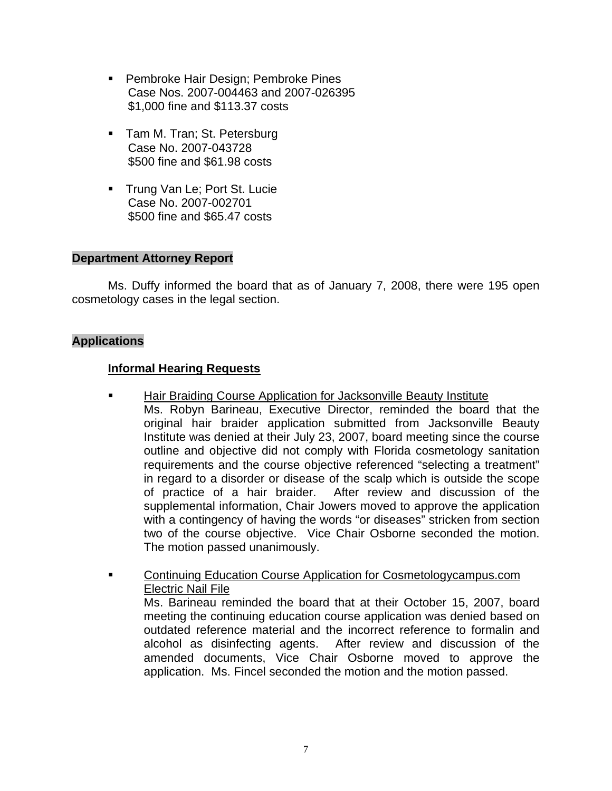- **Pembroke Hair Design: Pembroke Pines**  Case Nos. 2007-004463 and 2007-026395 \$1,000 fine and \$113.37 costs
- Tam M. Tran; St. Petersburg Case No. 2007-043728 \$500 fine and \$61.98 costs
- **Trung Van Le; Port St. Lucie**  Case No. 2007-002701 \$500 fine and \$65.47 costs

# **Department Attorney Report**

Ms. Duffy informed the board that as of January 7, 2008, there were 195 open cosmetology cases in the legal section.

# **Applications**

# **Informal Hearing Requests**

- Hair Braiding Course Application for Jacksonville Beauty Institute Ms. Robyn Barineau, Executive Director, reminded the board that the original hair braider application submitted from Jacksonville Beauty Institute was denied at their July 23, 2007, board meeting since the course outline and objective did not comply with Florida cosmetology sanitation requirements and the course objective referenced "selecting a treatment" in regard to a disorder or disease of the scalp which is outside the scope of practice of a hair braider. After review and discussion of the supplemental information, Chair Jowers moved to approve the application with a contingency of having the words "or diseases" stricken from section two of the course objective. Vice Chair Osborne seconded the motion. The motion passed unanimously.
- Continuing Education Course Application for Cosmetologycampus.com Electric Nail File Ms. Barineau reminded the board that at their October 15, 2007, board meeting the continuing education course application was denied based on outdated reference material and the incorrect reference to formalin and alcohol as disinfecting agents. After review and discussion of the amended documents, Vice Chair Osborne moved to approve the application. Ms. Fincel seconded the motion and the motion passed.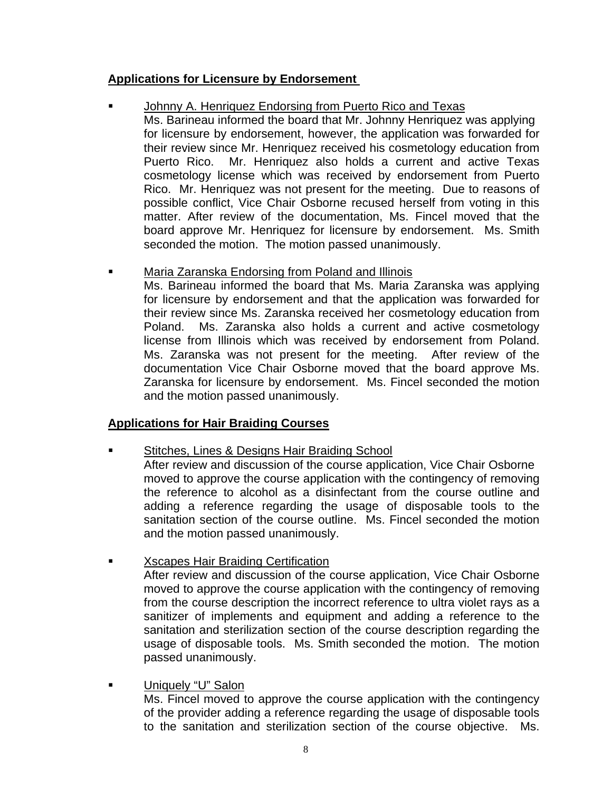# **Applications for Licensure by Endorsement**

# Johnny A. Henriquez Endorsing from Puerto Rico and Texas

 Ms. Barineau informed the board that Mr. Johnny Henriquez was applying for licensure by endorsement, however, the application was forwarded for their review since Mr. Henriquez received his cosmetology education from Puerto Rico. Mr. Henriquez also holds a current and active Texas cosmetology license which was received by endorsement from Puerto Rico. Mr. Henriquez was not present for the meeting. Due to reasons of possible conflict, Vice Chair Osborne recused herself from voting in this matter. After review of the documentation, Ms. Fincel moved that the board approve Mr. Henriquez for licensure by endorsement. Ms. Smith seconded the motion. The motion passed unanimously.

# **EXEDEE Maria Zaranska Endorsing from Poland and Illinois**

Ms. Barineau informed the board that Ms. Maria Zaranska was applying for licensure by endorsement and that the application was forwarded for their review since Ms. Zaranska received her cosmetology education from Poland. Ms. Zaranska also holds a current and active cosmetology license from Illinois which was received by endorsement from Poland. Ms. Zaranska was not present for the meeting. After review of the documentation Vice Chair Osborne moved that the board approve Ms. Zaranska for licensure by endorsement. Ms. Fincel seconded the motion and the motion passed unanimously.

# **Applications for Hair Braiding Courses**

- Stitches, Lines & Designs Hair Braiding School After review and discussion of the course application, Vice Chair Osborne moved to approve the course application with the contingency of removing the reference to alcohol as a disinfectant from the course outline and adding a reference regarding the usage of disposable tools to the sanitation section of the course outline. Ms. Fincel seconded the motion and the motion passed unanimously.
- **EXECAPES Hair Braiding Certification**

After review and discussion of the course application, Vice Chair Osborne moved to approve the course application with the contingency of removing from the course description the incorrect reference to ultra violet rays as a sanitizer of implements and equipment and adding a reference to the sanitation and sterilization section of the course description regarding the usage of disposable tools. Ms. Smith seconded the motion. The motion passed unanimously.

# **Uniquely "U" Salon**

Ms. Fincel moved to approve the course application with the contingency of the provider adding a reference regarding the usage of disposable tools to the sanitation and sterilization section of the course objective. Ms.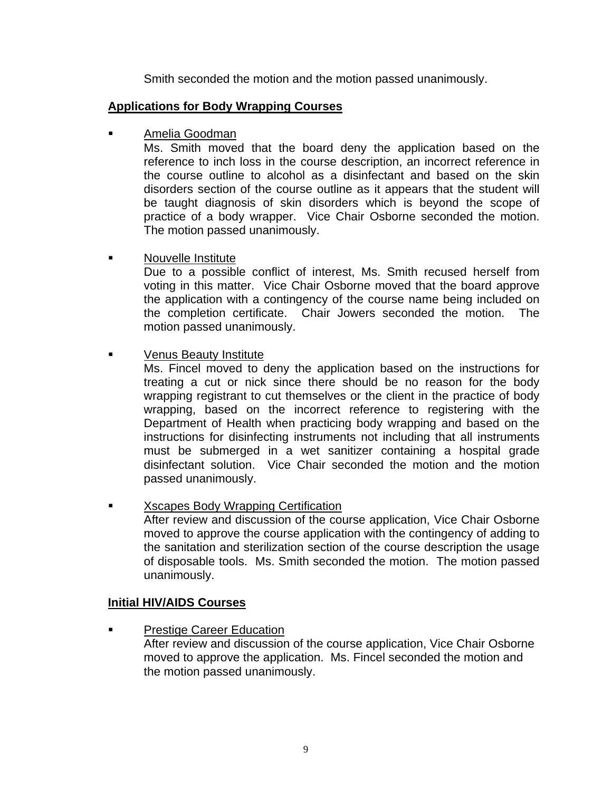Smith seconded the motion and the motion passed unanimously.

# **Applications for Body Wrapping Courses**

Amelia Goodman

Ms. Smith moved that the board deny the application based on the reference to inch loss in the course description, an incorrect reference in the course outline to alcohol as a disinfectant and based on the skin disorders section of the course outline as it appears that the student will be taught diagnosis of skin disorders which is beyond the scope of practice of a body wrapper. Vice Chair Osborne seconded the motion. The motion passed unanimously.

Nouvelle Institute

Due to a possible conflict of interest, Ms. Smith recused herself from voting in this matter. Vice Chair Osborne moved that the board approve the application with a contingency of the course name being included on the completion certificate. Chair Jowers seconded the motion. The motion passed unanimously.

**EXECUTE:** Venus Beauty Institute

Ms. Fincel moved to deny the application based on the instructions for treating a cut or nick since there should be no reason for the body wrapping registrant to cut themselves or the client in the practice of body wrapping, based on the incorrect reference to registering with the Department of Health when practicing body wrapping and based on the instructions for disinfecting instruments not including that all instruments must be submerged in a wet sanitizer containing a hospital grade disinfectant solution. Vice Chair seconded the motion and the motion passed unanimously.

Xscapes Body Wrapping Certification After review and discussion of the course application, Vice Chair Osborne moved to approve the course application with the contingency of adding to the sanitation and sterilization section of the course description the usage of disposable tools. Ms. Smith seconded the motion. The motion passed unanimously.

# **Initial HIV/AIDS Courses**

Prestige Career Education

 After review and discussion of the course application, Vice Chair Osborne moved to approve the application. Ms. Fincel seconded the motion and the motion passed unanimously.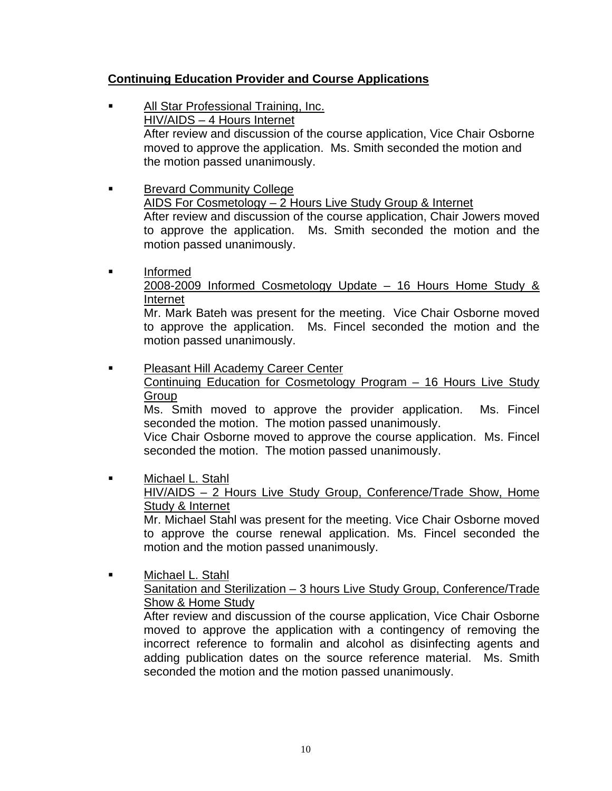# **Continuing Education Provider and Course Applications**

- All Star Professional Training, Inc. HIV/AIDS – 4 Hours Internet After review and discussion of the course application, Vice Chair Osborne moved to approve the application. Ms. Smith seconded the motion and the motion passed unanimously.
- **Brevard Community College** AIDS For Cosmetology – 2 Hours Live Study Group & Internet After review and discussion of the course application, Chair Jowers moved to approve the application. Ms. Smith seconded the motion and the motion passed unanimously.
- **Informed**

2008-2009 Informed Cosmetology Update – 16 Hours Home Study & Internet

Mr. Mark Bateh was present for the meeting. Vice Chair Osborne moved to approve the application. Ms. Fincel seconded the motion and the motion passed unanimously.

**Pleasant Hill Academy Career Center** Continuing Education for Cosmetology Program – 16 Hours Live Study **Group** 

Ms. Smith moved to approve the provider application. Ms. Fincel seconded the motion. The motion passed unanimously.

Vice Chair Osborne moved to approve the course application. Ms. Fincel seconded the motion. The motion passed unanimously.

**Nichael L. Stahl** 

HIV/AIDS – 2 Hours Live Study Group, Conference/Trade Show, Home Study & Internet

Mr. Michael Stahl was present for the meeting. Vice Chair Osborne moved to approve the course renewal application. Ms. Fincel seconded the motion and the motion passed unanimously.

 Michael L. Stahl Sanitation and Sterilization – 3 hours Live Study Group, Conference/Trade Show & Home Study

After review and discussion of the course application, Vice Chair Osborne moved to approve the application with a contingency of removing the incorrect reference to formalin and alcohol as disinfecting agents and adding publication dates on the source reference material. Ms. Smith seconded the motion and the motion passed unanimously.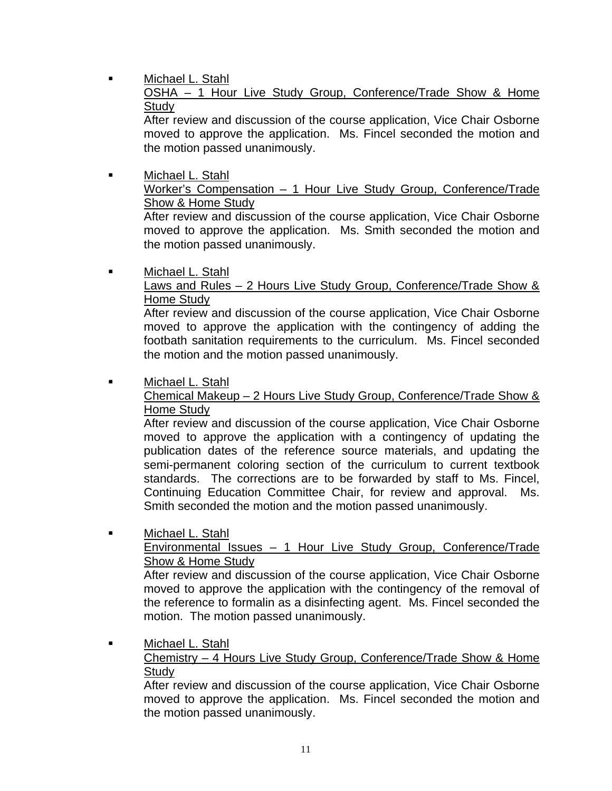**Nichael L. Stahl** 

OSHA – 1 Hour Live Study Group, Conference/Trade Show & Home **Study** 

After review and discussion of the course application, Vice Chair Osborne moved to approve the application. Ms. Fincel seconded the motion and the motion passed unanimously.

 Michael L. Stahl Worker's Compensation – 1 Hour Live Study Group, Conference/Trade Show & Home Study

After review and discussion of the course application, Vice Chair Osborne moved to approve the application. Ms. Smith seconded the motion and the motion passed unanimously.

**Nichael L. Stahl** 

# Laws and Rules - 2 Hours Live Study Group, Conference/Trade Show & Home Study

After review and discussion of the course application, Vice Chair Osborne moved to approve the application with the contingency of adding the footbath sanitation requirements to the curriculum. Ms. Fincel seconded the motion and the motion passed unanimously.

# Michael L. Stahl

# Chemical Makeup – 2 Hours Live Study Group, Conference/Trade Show & Home Study

After review and discussion of the course application, Vice Chair Osborne moved to approve the application with a contingency of updating the publication dates of the reference source materials, and updating the semi-permanent coloring section of the curriculum to current textbook standards. The corrections are to be forwarded by staff to Ms. Fincel, Continuing Education Committee Chair, for review and approval. Ms. Smith seconded the motion and the motion passed unanimously.

■ Michael L. Stahl

# Environmental Issues – 1 Hour Live Study Group, Conference/Trade Show & Home Study

After review and discussion of the course application, Vice Chair Osborne moved to approve the application with the contingency of the removal of the reference to formalin as a disinfecting agent. Ms. Fincel seconded the motion. The motion passed unanimously.

**Nichael L. Stahl** 

# Chemistry – 4 Hours Live Study Group, Conference/Trade Show & Home **Study**

After review and discussion of the course application, Vice Chair Osborne moved to approve the application. Ms. Fincel seconded the motion and the motion passed unanimously.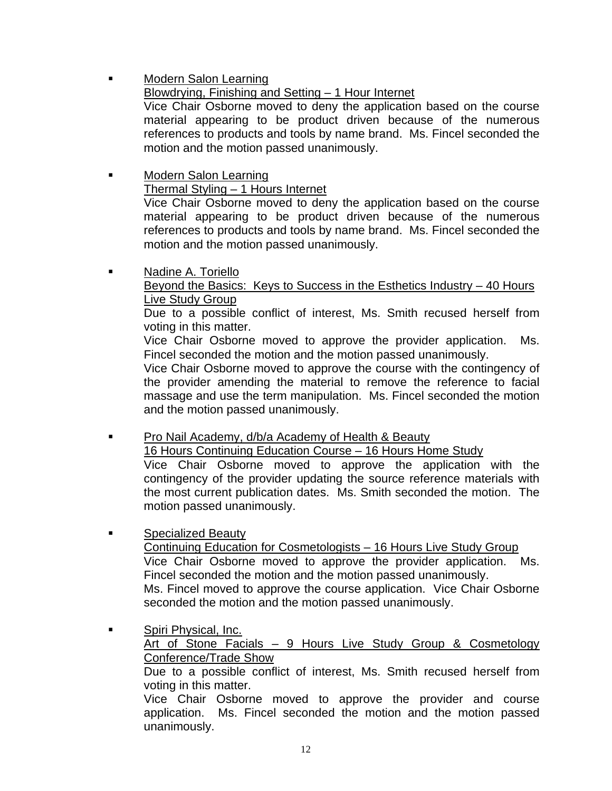Modern Salon Learning

# Blowdrying, Finishing and Setting – 1 Hour Internet

Vice Chair Osborne moved to deny the application based on the course material appearing to be product driven because of the numerous references to products and tools by name brand. Ms. Fincel seconded the motion and the motion passed unanimously.

- **Nodern Salon Learning**  Thermal Styling – 1 Hours Internet Vice Chair Osborne moved to deny the application based on the course material appearing to be product driven because of the numerous references to products and tools by name brand. Ms. Fincel seconded the motion and the motion passed unanimously.
- **Nadine A. Toriello**

 Beyond the Basics: Keys to Success in the Esthetics Industry – 40 Hours Live Study Group

Due to a possible conflict of interest, Ms. Smith recused herself from voting in this matter.

Vice Chair Osborne moved to approve the provider application. Ms. Fincel seconded the motion and the motion passed unanimously.

Vice Chair Osborne moved to approve the course with the contingency of the provider amending the material to remove the reference to facial massage and use the term manipulation. Ms. Fincel seconded the motion and the motion passed unanimously.

**Pro Nail Academy, d/b/a Academy of Health & Beauty** 

 16 Hours Continuing Education Course – 16 Hours Home Study Vice Chair Osborne moved to approve the application with the

contingency of the provider updating the source reference materials with the most current publication dates. Ms. Smith seconded the motion. The motion passed unanimously.

**Example 25 Specialized Beauty** 

 Continuing Education for Cosmetologists – 16 Hours Live Study Group Vice Chair Osborne moved to approve the provider application. Ms. Fincel seconded the motion and the motion passed unanimously. Ms. Fincel moved to approve the course application. Vice Chair Osborne seconded the motion and the motion passed unanimously.

**Spiri Physical, Inc.** 

Art of Stone Facials – 9 Hours Live Study Group & Cosmetology Conference/Trade Show

Due to a possible conflict of interest, Ms. Smith recused herself from voting in this matter.

Vice Chair Osborne moved to approve the provider and course application. Ms. Fincel seconded the motion and the motion passed unanimously.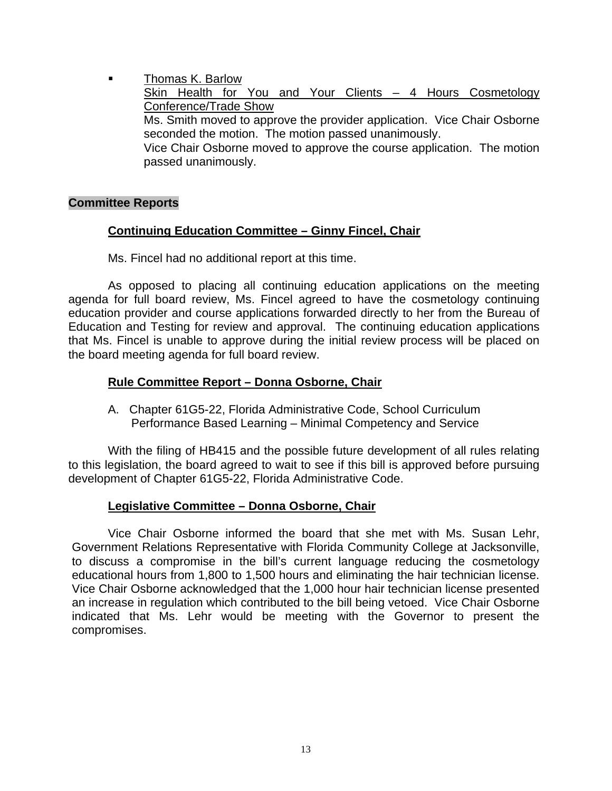Thomas K. Barlow Skin Health for You and Your Clients - 4 Hours Cosmetology Conference/Trade Show Ms. Smith moved to approve the provider application. Vice Chair Osborne seconded the motion. The motion passed unanimously. Vice Chair Osborne moved to approve the course application. The motion passed unanimously.

#### **Committee Reports**

## **Continuing Education Committee – Ginny Fincel, Chair**

Ms. Fincel had no additional report at this time.

 As opposed to placing all continuing education applications on the meeting agenda for full board review, Ms. Fincel agreed to have the cosmetology continuing education provider and course applications forwarded directly to her from the Bureau of Education and Testing for review and approval. The continuing education applications that Ms. Fincel is unable to approve during the initial review process will be placed on the board meeting agenda for full board review.

## **Rule Committee Report – Donna Osborne, Chair**

 A. Chapter 61G5-22, Florida Administrative Code, School Curriculum Performance Based Learning – Minimal Competency and Service

 With the filing of HB415 and the possible future development of all rules relating to this legislation, the board agreed to wait to see if this bill is approved before pursuing development of Chapter 61G5-22, Florida Administrative Code.

# **Legislative Committee – Donna Osborne, Chair**

 Vice Chair Osborne informed the board that she met with Ms. Susan Lehr, Government Relations Representative with Florida Community College at Jacksonville, to discuss a compromise in the bill's current language reducing the cosmetology educational hours from 1,800 to 1,500 hours and eliminating the hair technician license. Vice Chair Osborne acknowledged that the 1,000 hour hair technician license presented an increase in regulation which contributed to the bill being vetoed. Vice Chair Osborne indicated that Ms. Lehr would be meeting with the Governor to present the compromises.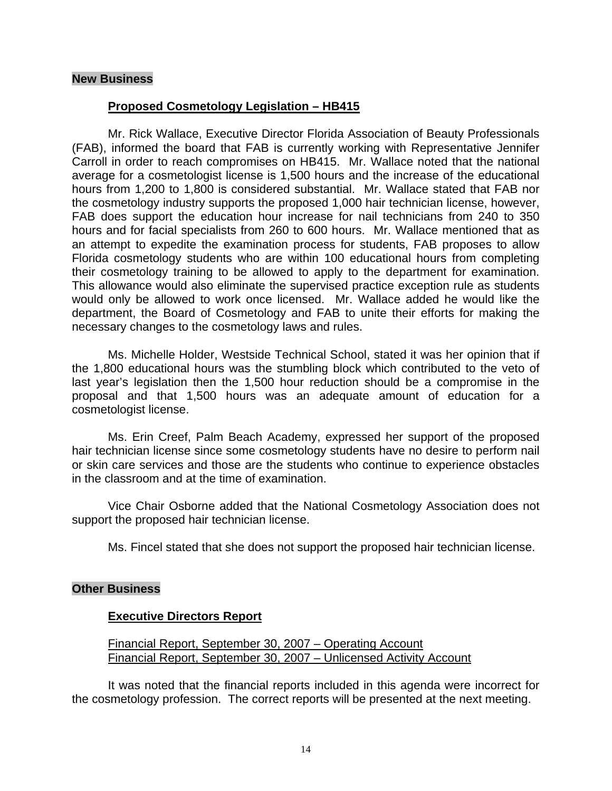#### **New Business**

# **Proposed Cosmetology Legislation – HB415**

 Mr. Rick Wallace, Executive Director Florida Association of Beauty Professionals (FAB), informed the board that FAB is currently working with Representative Jennifer Carroll in order to reach compromises on HB415. Mr. Wallace noted that the national average for a cosmetologist license is 1,500 hours and the increase of the educational hours from 1,200 to 1,800 is considered substantial. Mr. Wallace stated that FAB nor the cosmetology industry supports the proposed 1,000 hair technician license, however, FAB does support the education hour increase for nail technicians from 240 to 350 hours and for facial specialists from 260 to 600 hours. Mr. Wallace mentioned that as an attempt to expedite the examination process for students, FAB proposes to allow Florida cosmetology students who are within 100 educational hours from completing their cosmetology training to be allowed to apply to the department for examination. This allowance would also eliminate the supervised practice exception rule as students would only be allowed to work once licensed. Mr. Wallace added he would like the department, the Board of Cosmetology and FAB to unite their efforts for making the necessary changes to the cosmetology laws and rules.

 Ms. Michelle Holder, Westside Technical School, stated it was her opinion that if the 1,800 educational hours was the stumbling block which contributed to the veto of last year's legislation then the 1,500 hour reduction should be a compromise in the proposal and that 1,500 hours was an adequate amount of education for a cosmetologist license.

 Ms. Erin Creef, Palm Beach Academy, expressed her support of the proposed hair technician license since some cosmetology students have no desire to perform nail or skin care services and those are the students who continue to experience obstacles in the classroom and at the time of examination.

 Vice Chair Osborne added that the National Cosmetology Association does not support the proposed hair technician license.

Ms. Fincel stated that she does not support the proposed hair technician license.

#### **Other Business**

# **Executive Directors Report**

Financial Report, September 30, 2007 – Operating Account Financial Report, September 30, 2007 – Unlicensed Activity Account

 It was noted that the financial reports included in this agenda were incorrect for the cosmetology profession. The correct reports will be presented at the next meeting.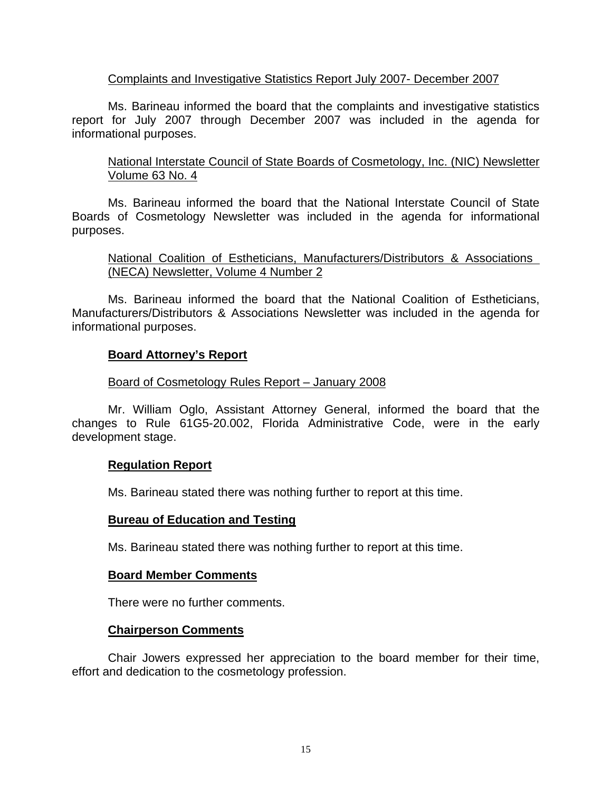# Complaints and Investigative Statistics Report July 2007- December 2007

 Ms. Barineau informed the board that the complaints and investigative statistics report for July 2007 through December 2007 was included in the agenda for informational purposes.

# National Interstate Council of State Boards of Cosmetology, Inc. (NIC) Newsletter Volume 63 No. 4

 Ms. Barineau informed the board that the National Interstate Council of State Boards of Cosmetology Newsletter was included in the agenda for informational purposes.

# National Coalition of Estheticians, Manufacturers/Distributors & Associations (NECA) Newsletter, Volume 4 Number 2

 Ms. Barineau informed the board that the National Coalition of Estheticians, Manufacturers/Distributors & Associations Newsletter was included in the agenda for informational purposes.

# **Board Attorney's Report**

# Board of Cosmetology Rules Report – January 2008

 Mr. William Oglo, Assistant Attorney General, informed the board that the changes to Rule 61G5-20.002, Florida Administrative Code, were in the early development stage.

# **Regulation Report**

Ms. Barineau stated there was nothing further to report at this time.

#### **Bureau of Education and Testing**

Ms. Barineau stated there was nothing further to report at this time.

#### **Board Member Comments**

There were no further comments.

#### **Chairperson Comments**

 Chair Jowers expressed her appreciation to the board member for their time, effort and dedication to the cosmetology profession.